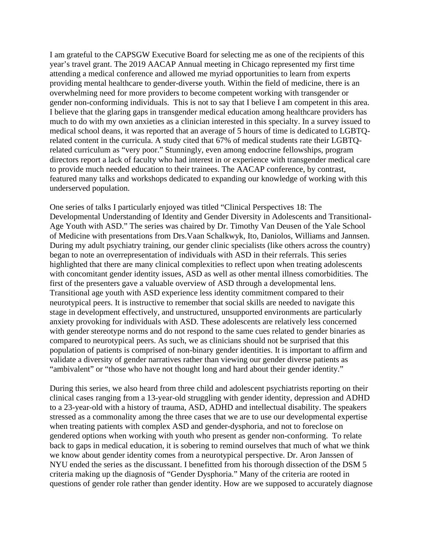I am grateful to the CAPSGW Executive Board for selecting me as one of the recipients of this year's travel grant. The 2019 AACAP Annual meeting in Chicago represented my first time attending a medical conference and allowed me myriad opportunities to learn from experts providing mental healthcare to gender-diverse youth. Within the field of medicine, there is an overwhelming need for more providers to become competent working with transgender or gender non-conforming individuals. This is not to say that I believe I am competent in this area. I believe that the glaring gaps in transgender medical education among healthcare providers has much to do with my own anxieties as a clinician interested in this specialty. In a survey issued to medical school deans, it was reported that an average of 5 hours of time is dedicated to LGBTQrelated content in the curricula. A study cited that 67% of medical students rate their LGBTQrelated curriculum as "very poor." Stunningly, even among endocrine fellowships, program directors report a lack of faculty who had interest in or experience with transgender medical care to provide much needed education to their trainees. The AACAP conference, by contrast, featured many talks and workshops dedicated to expanding our knowledge of working with this underserved population.

One series of talks I particularly enjoyed was titled "Clinical Perspectives 18: The Developmental Understanding of Identity and Gender Diversity in Adolescents and Transitional-Age Youth with ASD." The series was chaired by Dr. Timothy Van Deusen of the Yale School of Medicine with presentations from Drs.Vaan Schalkwyk, Ito, Daniolos, Williams and Jannsen. During my adult psychiatry training, our gender clinic specialists (like others across the country) began to note an overrepresentation of individuals with ASD in their referrals. This series highlighted that there are many clinical complexities to reflect upon when treating adolescents with concomitant gender identity issues, ASD as well as other mental illness comorbidities. The first of the presenters gave a valuable overview of ASD through a developmental lens. Transitional age youth with ASD experience less identity commitment compared to their neurotypical peers. It is instructive to remember that social skills are needed to navigate this stage in development effectively, and unstructured, unsupported environments are particularly anxiety provoking for individuals with ASD. These adolescents are relatively less concerned with gender stereotype norms and do not respond to the same cues related to gender binaries as compared to neurotypical peers. As such, we as clinicians should not be surprised that this population of patients is comprised of non-binary gender identities. It is important to affirm and validate a diversity of gender narratives rather than viewing our gender diverse patients as "ambivalent" or "those who have not thought long and hard about their gender identity."

During this series, we also heard from three child and adolescent psychiatrists reporting on their clinical cases ranging from a 13-year-old struggling with gender identity, depression and ADHD to a 23-year-old with a history of trauma, ASD, ADHD and intellectual disability. The speakers stressed as a commonality among the three cases that we are to use our developmental expertise when treating patients with complex ASD and gender-dysphoria, and not to foreclose on gendered options when working with youth who present as gender non-conforming. To relate back to gaps in medical education, it is sobering to remind ourselves that much of what we think we know about gender identity comes from a neurotypical perspective. Dr. Aron Janssen of NYU ended the series as the discussant. I benefitted from his thorough dissection of the DSM 5 criteria making up the diagnosis of "Gender Dysphoria." Many of the criteria are rooted in questions of gender role rather than gender identity. How are we supposed to accurately diagnose